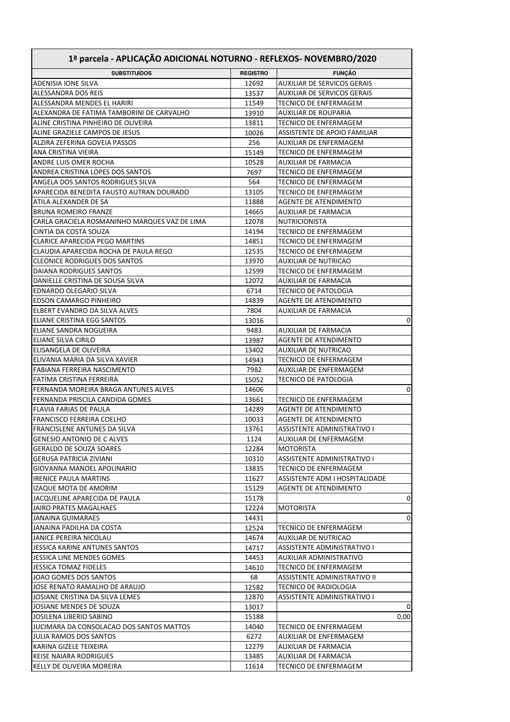| 1ª parcela - APLICAÇÃO ADICIONAL NOTURNO - REFLEXOS- NOVEMBRO/2020 |                 |                                                              |
|--------------------------------------------------------------------|-----------------|--------------------------------------------------------------|
| <b>SUBSTITUÍDOS</b>                                                | <b>REGISTRO</b> | <b>FUNÇÃO</b>                                                |
| ADENISIA IONE SILVA                                                | 12692           | AUXILIAR DE SERVICOS GERAIS                                  |
| ALESSANDRA DOS REIS                                                | 13537           | <b>AUXILIAR DE SERVICOS GERAIS</b>                           |
| ALESSANDRA MENDES EL HARIRI                                        | 11549           | <b>TECNICO DE ENFERMAGEM</b>                                 |
| ALEXANDRA DE FATIMA TAMBORINI DE CARVALHO                          | 13910           | <b>AUXILIAR DE ROUPARIA</b>                                  |
| ALINE CRISTINA PINHEIRO DE OLIVEIRA                                | 13811           | <b>TECNICO DE ENFERMAGEM</b>                                 |
| ALINE GRAZIELE CAMPOS DE JESUS                                     | 10026           | ASSISTENTE DE APOIO FAMILIAR                                 |
| ALZIRA ZEFERINA GOVEIA PASSOS                                      | 256             | AUXILIAR DE ENFERMAGEM                                       |
| ANA CRISTINA VIEIRA                                                | 15149           | <b>TECNICO DE ENFERMAGEM</b>                                 |
| ANDRE LUIS OMER ROCHA                                              | 10528           | <b>AUXILIAR DE FARMACIA</b>                                  |
| ANDREA CRISTINA LOPES DOS SANTOS                                   | 7697            | <b>TECNICO DE ENFERMAGEM</b>                                 |
| ANGELA DOS SANTOS RODRIGUES SILVA                                  | 564             | <b>TECNICO DE ENFERMAGEM</b>                                 |
| APARECIDA BENEDITA FAUSTO AUTRAN DOURADO                           | 13105           | <b>TECNICO DE ENFERMAGEM</b>                                 |
| ATILA ALEXANDER DE SA                                              | 11888           | <b>AGENTE DE ATENDIMENTO</b>                                 |
| <b>BRUNA ROMEIRO FRANZE</b>                                        | 14665           | AUXILIAR DE FARMACIA                                         |
| CARLA GRACIELA ROSMANINHO MARQUES VAZ DE LIMA                      | 12078           | <b>NUTRICIONISTA</b>                                         |
| CINTIA DA COSTA SOUZA                                              | 14194           | <b>TECNICO DE ENFERMAGEM</b>                                 |
| <b>CLARICE APARECIDA PEGO MARTINS</b>                              | 14851           | <b>TECNICO DE ENFERMAGEM</b>                                 |
| CLAUDIA APARECIDA ROCHA DE PAULA REGO                              | 12535           | <b>TECNICO DE ENFERMAGEM</b>                                 |
| <b>CLEONICE RODRIGUES DOS SANTOS</b>                               | 13970           | <b>AUXILIAR DE NUTRICAO</b>                                  |
| <b>DAIANA RODRIGUES SANTOS</b>                                     | 12599           | <b>TECNICO DE ENFERMAGEM</b>                                 |
| DANIELLE CRISTINA DE SOUSA SILVA                                   | 12072           | <b>AUXILIAR DE FARMACIA</b>                                  |
| EDNARDO OLEGARIO SILVA                                             | 6714            | <b>TECNICO DE PATOLOGIA</b>                                  |
| <b>EDSON CAMARGO PINHEIRO</b>                                      | 14839           | <b>AGENTE DE ATENDIMENTO</b>                                 |
| ELBERT EVANDRO DA SILVA ALVES                                      | 7804            | AUXILIAR DE FARMACIA                                         |
| ELIANE CRISTINA EGG SANTOS                                         | 13016           | 0                                                            |
| ELIANE SANDRA NOGUEIRA                                             | 9483            | AUXILIAR DE FARMACIA                                         |
| ELIANE SILVA CIRILO                                                | 13987           | <b>AGENTE DE ATENDIMENTO</b>                                 |
| ELISANGELA DE OLIVEIRA                                             | 13402           | <b>AUXILIAR DE NUTRICAO</b>                                  |
| ELIVANIA MARIA DA SILVA XAVIER                                     | 14943           | <b>TECNICO DE ENFERMAGEM</b>                                 |
| FABIANA FERREIRA NASCIMENTO                                        | 7982            | AUXILIAR DE ENFERMAGEM                                       |
| FATIMA CRISTINA FERREIRA                                           | 15052           | <b>TECNICO DE PATOLOGIA</b>                                  |
| FERNANDA MOREIRA BRAGA ANTUNES ALVES                               | 14606           | 0                                                            |
| FERNANDA PRISCILA CANDIDA GOMES<br><b>FLAVIA FARIAS DE PAULA</b>   | 13661<br>14289  | <b>TECNICO DE ENFERMAGEM</b><br><b>AGENTE DE ATENDIMENTO</b> |
| <b>FRANCISCO FERREIRA COELHO</b>                                   | 10033           | <b>AGENTE DE ATENDIMENTO</b>                                 |
| FRANCISLENE ANTUNES DA SILVA                                       | 13761           | ASSISTENTE ADMINISTRATIVO I                                  |
| <b>GENESIO ANTONIO DE CALVES</b>                                   | 1124            | AUXILIAR DE ENFERMAGEM                                       |
| <b>GERALDO DE SOUZA SOARES</b>                                     | 12284           | <b>MOTORISTA</b>                                             |
| <b>GERUSA PATRICIA ZIVIANI</b>                                     | 10310           | ASSISTENTE ADMINISTRATIVO I                                  |
| GIOVANNA MANOEL APOLINARIO                                         | 13835           | TECNICO DE ENFERMAGEM                                        |
| IRENICE PAULA MARTINS                                              | 11627           | ASSISTENTE ADM I HOSPITALIDADE                               |
| IZAQUE MOTA DE AMORIM                                              | 15129           | <b>AGENTE DE ATENDIMENTO</b>                                 |
| JACQUELINE APARECIDA DE PAULA                                      | 15178           | 0                                                            |
| JAIRO PRATES MAGALHAES                                             | 12224           | <b>MOTORISTA</b>                                             |
| JANAINA GUIMARAES                                                  | 14431           | 0                                                            |
| JANAINA PADILHA DA COSTA                                           | 12524           | TECNICO DE ENFERMAGEM                                        |
| JANICE PEREIRA NICOLAU                                             | 14674           | AUXILIAR DE NUTRICAO                                         |
| JESSICA KARINE ANTUNES SANTOS                                      | 14717           | ASSISTENTE ADMINISTRATIVO I                                  |
| JESSICA LINE MENDES GOMES                                          | 14453           | AUXILIAR ADMINISTRATIVO                                      |
| JESSICA TOMAZ FIDELES                                              | 14610           | TECNICO DE ENFERMAGEM                                        |
| JOAO GOMES DOS SANTOS                                              | 68              | ASSISTENTE ADMINISTRATIVO II                                 |
| JOSE RENATO RAMALHO DE ARAUJO                                      | 12582           | TECNICO DE RADIOLOGIA                                        |
| JOSIANE CRISTINA DA SILVA LEMES                                    | 12870           | ASSISTENTE ADMINISTRATIVO I                                  |
| JOSIANE MENDES DE SOUZA                                            | 13017           | 0                                                            |
| JOSILENA LIBERIO SABINO                                            | 15188           | 0,00                                                         |
| JUCIMARA DA CONSOLACAO DOS SANTOS MATTOS                           | 14040           | TECNICO DE ENFERMAGEM                                        |
| JULIA RAMOS DOS SANTOS                                             | 6272            | AUXILIAR DE ENFERMAGEM                                       |
| KARINA GIZELE TEIXEIRA                                             | 12279           | AUXILIAR DE FARMACIA                                         |
| <b>KEISE NAIARA RODRIGUES</b>                                      | 13485           | AUXILIAR DE FARMACIA                                         |
| KELLY DE OLIVEIRA MOREIRA                                          | 11614           | TECNICO DE ENFERMAGEM                                        |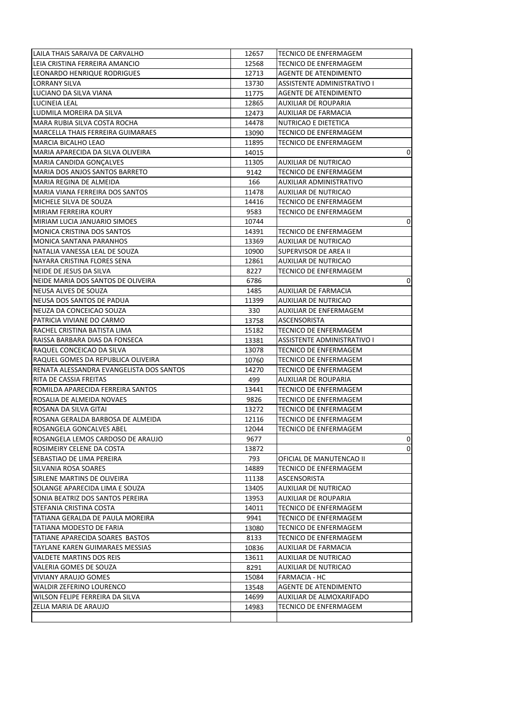| LAILA THAIS SARAIVA DE CARVALHO                               | 12657        | TECNICO DE ENFERMAGEM        |        |
|---------------------------------------------------------------|--------------|------------------------------|--------|
| LEIA CRISTINA FERREIRA AMANCIO                                | 12568        | TECNICO DE ENFERMAGEM        |        |
| LEONARDO HENRIQUE RODRIGUES                                   | 12713        | <b>AGENTE DE ATENDIMENTO</b> |        |
| LORRANY SILVA                                                 | 13730        | ASSISTENTE ADMINISTRATIVO I  |        |
| LUCIANO DA SILVA VIANA                                        | 11775        | <b>AGENTE DE ATENDIMENTO</b> |        |
| LUCINEIA LEAL                                                 | 12865        | AUXILIAR DE ROUPARIA         |        |
| LUDMILA MOREIRA DA SILVA                                      | 12473        | <b>AUXILIAR DE FARMACIA</b>  |        |
| MARA RUBIA SILVA COSTA ROCHA                                  | 14478        | NUTRICAO E DIETETICA         |        |
| MARCELLA THAIS FERREIRA GUIMARAES                             | 13090        | TECNICO DE ENFERMAGEM        |        |
| <b>MARCIA BICALHO LEAO</b>                                    | 11895        | TECNICO DE ENFERMAGEM        |        |
| MARIA APARECIDA DA SILVA OLIVEIRA                             | 14015        |                              | 0      |
| MARIA CANDIDA GONÇALVES                                       | 11305        | AUXILIAR DE NUTRICAO         |        |
| MARIA DOS ANJOS SANTOS BARRETO                                | 9142         | TECNICO DE ENFERMAGEM        |        |
| MARIA REGINA DE ALMEIDA                                       | 166          | AUXILIAR ADMINISTRATIVO      |        |
| MARIA VIANA FERREIRA DOS SANTOS                               | 11478        | AUXILIAR DE NUTRICAO         |        |
| MICHELE SILVA DE SOUZA                                        | 14416        | TECNICO DE ENFERMAGEM        |        |
| MIRIAM FERREIRA KOURY                                         | 9583         | TECNICO DE ENFERMAGEM        |        |
| MIRIAM LUCIA JANUARIO SIMOES                                  | 10744        |                              | 0      |
| MONICA CRISTINA DOS SANTOS                                    | 14391        | TECNICO DE ENFERMAGEM        |        |
| <b>MONICA SANTANA PARANHOS</b>                                | 13369        | <b>AUXILIAR DE NUTRICAO</b>  |        |
| NATALIA VANESSA LEAL DE SOUZA                                 | 10900        | SUPERVISOR DE AREA II        |        |
| NAYARA CRISTINA FLORES SENA                                   | 12861        | AUXILIAR DE NUTRICAO         |        |
| NEIDE DE JESUS DA SILVA                                       | 8227         | TECNICO DE ENFERMAGEM        |        |
| NEIDE MARIA DOS SANTOS DE OLIVEIRA                            | 6786         |                              | 0      |
| NEUSA ALVES DE SOUZA                                          | 1485         | AUXILIAR DE FARMACIA         |        |
| NEUSA DOS SANTOS DE PADUA                                     | 11399        | AUXILIAR DE NUTRICAO         |        |
| NEUZA DA CONCEICAO SOUZA                                      | 330          | AUXILIAR DE ENFERMAGEM       |        |
| PATRICIA VIVIANE DO CARMO                                     | 13758        | ASCENSORISTA                 |        |
| RACHEL CRISTINA BATISTA LIMA                                  | 15182        | TECNICO DE ENFERMAGEM        |        |
| RAISSA BARBARA DIAS DA FONSECA                                | 13381        | ASSISTENTE ADMINISTRATIVO I  |        |
| RAQUEL CONCEICAO DA SILVA                                     | 13078        | TECNICO DE ENFERMAGEM        |        |
| RAQUEL GOMES DA REPUBLICA OLIVEIRA                            | 10760        | <b>TECNICO DE ENFERMAGEM</b> |        |
| RENATA ALESSANDRA EVANGELISTA DOS SANTOS                      | 14270        | TECNICO DE ENFERMAGEM        |        |
| RITA DE CASSIA FREITAS                                        | 499          | AUXILIAR DE ROUPARIA         |        |
| ROMILDA APARECIDA FERREIRA SANTOS                             | 13441        | TECNICO DE ENFERMAGEM        |        |
| ROSALIA DE ALMEIDA NOVAES                                     | 9826         | TECNICO DE ENFERMAGEM        |        |
| ROSANA DA SILVA GITAI                                         | 13272        | TECNICO DE ENFERMAGEM        |        |
| ROSANA GERALDA BARBOSA DE ALMEIDA                             | 12116        | TECNICO DE ENFERMAGEM        |        |
| ROSANGELA GONCALVES ABEL                                      | 12044        | TECNICO DE ENFERMAGEM        |        |
| ROSANGELA LEMOS CARDOSO DE ARAUJO                             |              |                              |        |
|                                                               | 9677         |                              | 0<br>0 |
| ROSIMEIRY CELENE DA COSTA<br><b>SEBASTIAO DE LIMA PEREIRA</b> | 13872<br>793 |                              |        |
| <b>SILVANIA ROSA SOARES</b>                                   |              | OFICIAL DE MANUTENCAO II     |        |
|                                                               | 14889        | TECNICO DE ENFERMAGEM        |        |
| SIRLENE MARTINS DE OLIVEIRA                                   | 11138        | ASCENSORISTA                 |        |
| SOLANGE APARECIDA LIMA E SOUZA                                | 13405        | AUXILIAR DE NUTRICAO         |        |
| SONIA BEATRIZ DOS SANTOS PEREIRA                              | 13953        | AUXILIAR DE ROUPARIA         |        |
| STEFANIA CRISTINA COSTA                                       | 14011        | TECNICO DE ENFERMAGEM        |        |
| TATIANA GERALDA DE PAULA MOREIRA                              | 9941         | <b>TECNICO DE ENFERMAGEM</b> |        |
| TATIANA MODESTO DE FARIA                                      | 13080        | TECNICO DE ENFERMAGEM        |        |
| TATIANE APARECIDA SOARES BASTOS                               | 8133         | TECNICO DE ENFERMAGEM        |        |
| TAYLANE KAREN GUIMARAES MESSIAS                               | 10836        | AUXILIAR DE FARMACIA         |        |
| VALDETE MARTINS DOS REIS                                      | 13611        | AUXILIAR DE NUTRICAO         |        |
| VALERIA GOMES DE SOUZA                                        | 8291         | AUXILIAR DE NUTRICAO         |        |
| <b>VIVIANY ARAUJO GOMES</b>                                   | 15084        | <b>FARMACIA - HC</b>         |        |
| WALDIR ZEFERINO LOURENCO                                      | 13548        | AGENTE DE ATENDIMENTO        |        |
| WILSON FELIPE FERREIRA DA SILVA                               | 14699        | AUXILIAR DE ALMOXARIFADO     |        |
| ZELIA MARIA DE ARAUJO                                         | 14983        | TECNICO DE ENFERMAGEM        |        |
|                                                               |              |                              |        |